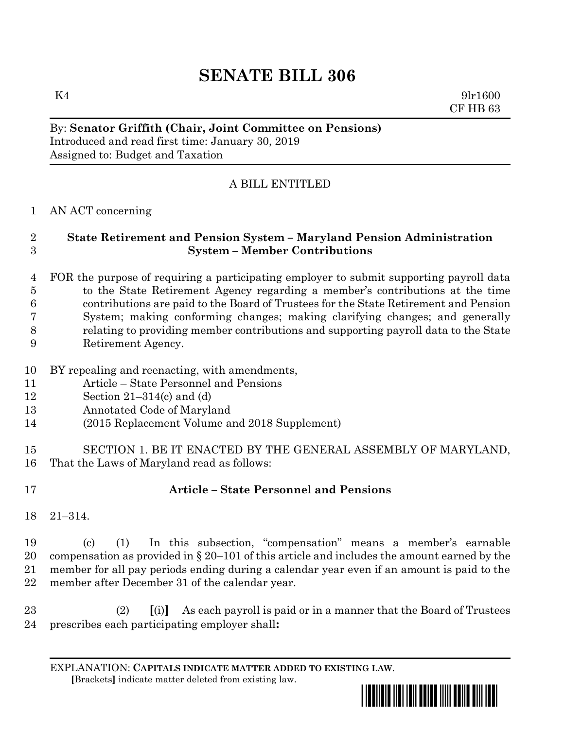# **SENATE BILL 306**

 $K4$  9lr1600 CF HB 63

#### By: **Senator Griffith (Chair, Joint Committee on Pensions)** Introduced and read first time: January 30, 2019 Assigned to: Budget and Taxation

## A BILL ENTITLED

### AN ACT concerning

### **State Retirement and Pension System – Maryland Pension Administration System – Member Contributions**

- FOR the purpose of requiring a participating employer to submit supporting payroll data to the State Retirement Agency regarding a member's contributions at the time contributions are paid to the Board of Trustees for the State Retirement and Pension System; making conforming changes; making clarifying changes; and generally relating to providing member contributions and supporting payroll data to the State Retirement Agency.
- 
- BY repealing and reenacting, with amendments,
- Article State Personnel and Pensions
- Section 21–314(c) and (d)
- Annotated Code of Maryland
- (2015 Replacement Volume and 2018 Supplement)
- SECTION 1. BE IT ENACTED BY THE GENERAL ASSEMBLY OF MARYLAND, That the Laws of Maryland read as follows:
- 

# **Article – State Personnel and Pensions**

21–314.

 (c) (1) In this subsection, "compensation" means a member's earnable 20 compensation as provided in  $\S 20-101$  of this article and includes the amount earned by the member for all pay periods ending during a calendar year even if an amount is paid to the member after December 31 of the calendar year.

 (2) **[**(i)**]** As each payroll is paid or in a manner that the Board of Trustees prescribes each participating employer shall**:**

EXPLANATION: **CAPITALS INDICATE MATTER ADDED TO EXISTING LAW**.  **[**Brackets**]** indicate matter deleted from existing law.